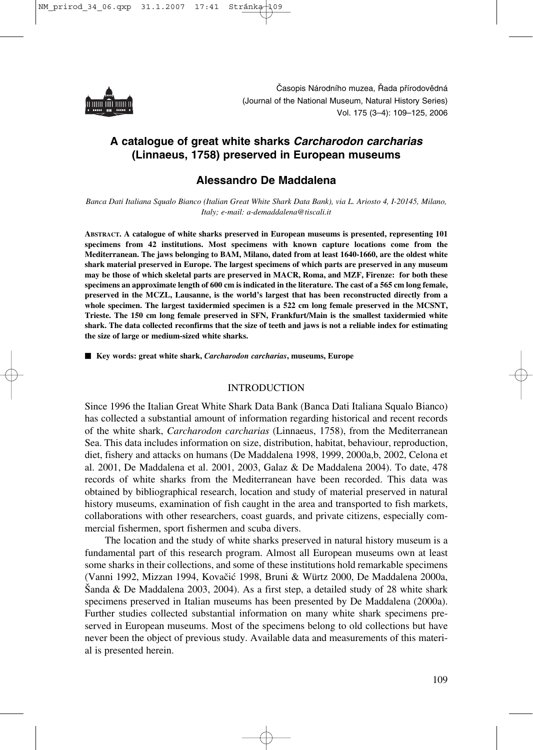

# **A catalogue of great white sharks** *Carcharodon carcharias*  **(Linnaeus, 1758) preserved in European museums**

## **Alessandro De Maddalena**

*Banca Dati Italiana Squalo Bianco (Italian Great White Shark Data Bank), via L. Ariosto 4, I-20145, Milano, Italy; e-mail: a-demaddalena@tiscali.it*

**ABSTRACT. A catalogue of white sharks preserved in European museums is presented, representing 101 specimens from 42 institutions. Most specimens with known capture locations come from the Mediterranean. The jaws belonging to BAM, Milano, dated from at least 1640-1660, are the oldest white shark material preserved in Europe. The largest specimens of which parts are preserved in any museum may be those of which skeletal parts are preserved in MACR, Roma, and MZF, Firenze: for both these specimens an approximate length of 600 cm is indicated in the literature. The cast of a 565 cm long female, preserved in the MCZL, Lausanne, is the world's largest that has been reconstructed directly from a whole specimen. The largest taxidermied specimen is a 522 cm long female preserved in the MCSNT, Trieste. The 150 cm long female preserved in SFN, Frankfurt/Main is the smallest taxidermied white shark. The data collected reconfirms that the size of teeth and jaws is not a reliable index for estimating the size of large or medium-sized white sharks.**

■ Key words: great white shark, *Carcharodon carcharias*, museums, Europe

#### INTRODUCTION

Since 1996 the Italian Great White Shark Data Bank (Banca Dati Italiana Squalo Bianco) has collected a substantial amount of information regarding historical and recent records of the white shark, *Carcharodon carcharias* (Linnaeus, 1758), from the Mediterranean Sea. This data includes information on size, distribution, habitat, behaviour, reproduction, diet, fishery and attacks on humans (De Maddalena 1998, 1999, 2000a,b, 2002, Celona et al. 2001, De Maddalena et al. 2001, 2003, Galaz & De Maddalena 2004). To date, 478 records of white sharks from the Mediterranean have been recorded. This data was obtained by bibliographical research, location and study of material preserved in natural history museums, examination of fish caught in the area and transported to fish markets, collaborations with other researchers, coast guards, and private citizens, especially commercial fishermen, sport fishermen and scuba divers.

The location and the study of white sharks preserved in natural history museum is a fundamental part of this research program. Almost all European museums own at least some sharks in their collections, and some of these institutions hold remarkable specimens (Vanni 1992, Mizzan 1994, Kovačić 1998, Bruni & Würtz 2000, De Maddalena 2000a, Šanda & De Maddalena 2003, 2004). As a first step, a detailed study of 28 white shark specimens preserved in Italian museums has been presented by De Maddalena (2000a). Further studies collected substantial information on many white shark specimens preserved in European museums. Most of the specimens belong to old collections but have never been the object of previous study. Available data and measurements of this material is presented herein.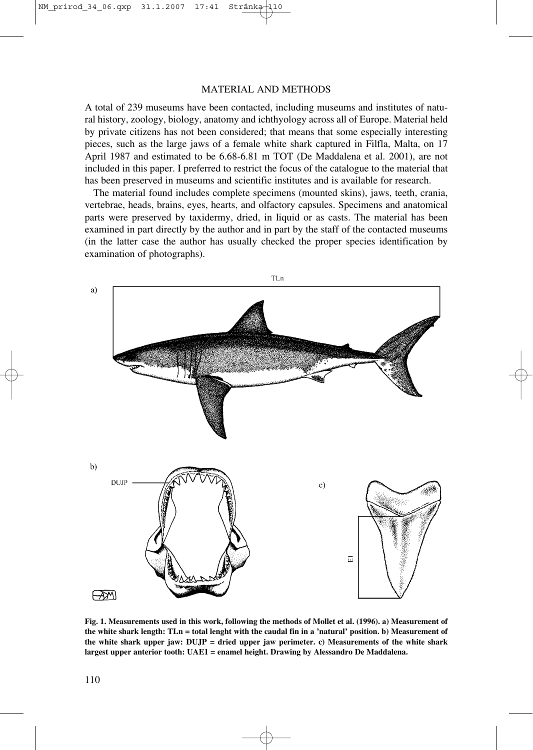#### MATERIAL AND METHODS

A total of 239 museums have been contacted, including museums and institutes of natural history, zoology, biology, anatomy and ichthyology across all of Europe. Material held by private citizens has not been considered; that means that some especially interesting pieces, such as the large jaws of a female white shark captured in Filfla, Malta, on 17 April 1987 and estimated to be 6.68-6.81 m TOT (De Maddalena et al. 2001), are not included in this paper. I preferred to restrict the focus of the catalogue to the material that has been preserved in museums and scientific institutes and is available for research.

The material found includes complete specimens (mounted skins), jaws, teeth, crania, vertebrae, heads, brains, eyes, hearts, and olfactory capsules. Specimens and anatomical parts were preserved by taxidermy, dried, in liquid or as casts. The material has been examined in part directly by the author and in part by the staff of the contacted museums (in the latter case the author has usually checked the proper species identification by examination of photographs).



**Fig. 1. Measurements used in this work, following the methods of Mollet et al. (1996). a) Measurement of the white shark length: TLn = total lenght with the caudal fin in a 'natural' position. b) Measurement of the white shark upper jaw: DUJP = dried upper jaw perimeter. c) Measurements of the white shark largest upper anterior tooth: UAE1 = enamel height. Drawing by Alessandro De Maddalena.**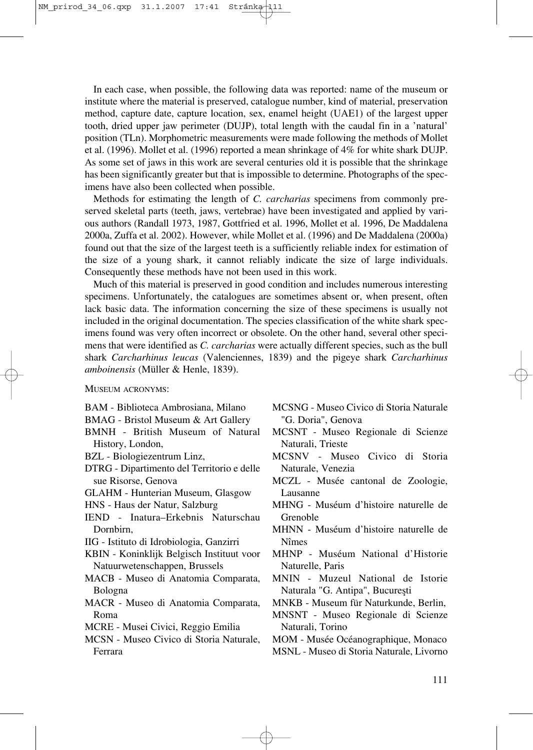In each case, when possible, the following data was reported: name of the museum or institute where the material is preserved, catalogue number, kind of material, preservation method, capture date, capture location, sex, enamel height (UAE1) of the largest upper tooth, dried upper jaw perimeter (DUJP), total length with the caudal fin in a 'natural' position (TLn). Morphometric measurements were made following the methods of Mollet et al. (1996). Mollet et al. (1996) reported a mean shrinkage of 4% for white shark DUJP. As some set of jaws in this work are several centuries old it is possible that the shrinkage has been significantly greater but that is impossible to determine. Photographs of the specimens have also been collected when possible.

Methods for estimating the length of *C. carcharias* specimens from commonly preserved skeletal parts (teeth, jaws, vertebrae) have been investigated and applied by various authors (Randall 1973, 1987, Gottfried et al. 1996, Mollet et al. 1996, De Maddalena 2000a, Zuffa et al. 2002). However, while Mollet et al. (1996) and De Maddalena (2000a) found out that the size of the largest teeth is a sufficiently reliable index for estimation of the size of a young shark, it cannot reliably indicate the size of large individuals. Consequently these methods have not been used in this work.

Much of this material is preserved in good condition and includes numerous interesting specimens. Unfortunately, the catalogues are sometimes absent or, when present, often lack basic data. The information concerning the size of these specimens is usually not included in the original documentation. The species classification of the white shark specimens found was very often incorrect or obsolete. On the other hand, several other specimens that were identified as *C. carcharias* were actually different species, such as the bull shark *Carcharhinus leucas* (Valenciennes, 1839) and the pigeye shark *Carcharhinus amboinensis* (Müller & Henle, 1839).

MUSEUM ACRONYMS:

- BAM Biblioteca Ambrosiana, Milano
- BMAG Bristol Museum & Art Gallery
- BMNH British Museum of Natural History, London,
- BZL Biologiezentrum Linz,
- DTRG Dipartimento del Territorio e delle sue Risorse, Genova
- GLAHM Hunterian Museum, Glasgow
- HNS Haus der Natur, Salzburg
- IEND Inatura–Erkebnis Naturschau Dornbirn,
- IIG Istituto di Idrobiologia, Ganzirri
- KBIN Koninklijk Belgisch Instituut voor Natuurwetenschappen, Brussels
- MACB Museo di Anatomia Comparata, Bologna
- MACR Museo di Anatomia Comparata, Roma
- MCRE Musei Civici, Reggio Emilia
- MCSN Museo Civico di Storia Naturale, Ferrara
- MCSNG Museo Civico di Storia Naturale "G. Doria", Genova
- MCSNT Museo Regionale di Scienze Naturali, Trieste
- MCSNV Museo Civico di Storia Naturale, Venezia
- MCZL Musée cantonal de Zoologie, Lausanne
- MHNG Muséum d'histoire naturelle de Grenoble
- MHNN Muséum d'histoire naturelle de Nîmes
- MHNP Muséum National d'Historie Naturelle, Paris
- MNIN Muzeul National de Istorie Naturala "G. Antipa", Bucureşti
- MNKB Museum für Naturkunde, Berlin,
- MNSNT Museo Regionale di Scienze Naturali, Torino
- MOM Musée Océanographique, Monaco
- MSNL Museo di Storia Naturale, Livorno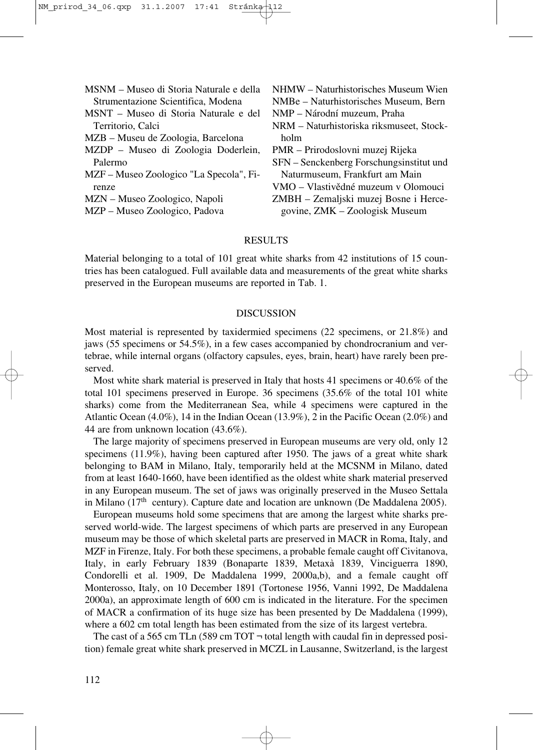| NHMW – Naturhistorisches Museum Wien     |
|------------------------------------------|
| NMBe – Naturhistorisches Museum, Bern    |
| NMP - Národní muzeum, Praha              |
| NRM – Naturhistoriska riksmuseet, Stock- |
| holm                                     |
| PMR – Prirodoslovni muzej Rijeka         |
| SFN – Senckenberg Forschungsinstitut und |
| Naturmuseum, Frankfurt am Main           |
| VMO – Vlastivědné muzeum v Olomouci      |
| ZMBH – Zemaljski muzej Bosne i Herce-    |
| govine, ZMK - Zoologisk Museum           |
|                                          |

#### **RESULTS**

Material belonging to a total of 101 great white sharks from 42 institutions of 15 countries has been catalogued. Full available data and measurements of the great white sharks preserved in the European museums are reported in Tab. 1.

#### DISCUSSION

Most material is represented by taxidermied specimens (22 specimens, or 21.8%) and jaws (55 specimens or 54.5%), in a few cases accompanied by chondrocranium and vertebrae, while internal organs (olfactory capsules, eyes, brain, heart) have rarely been preserved.

Most white shark material is preserved in Italy that hosts 41 specimens or 40.6% of the total 101 specimens preserved in Europe. 36 specimens (35.6% of the total 101 white sharks) come from the Mediterranean Sea, while 4 specimens were captured in the Atlantic Ocean (4.0%), 14 in the Indian Ocean (13.9%), 2 in the Pacific Ocean (2.0%) and 44 are from unknown location (43.6%).

The large majority of specimens preserved in European museums are very old, only 12 specimens (11.9%), having been captured after 1950. The jaws of a great white shark belonging to BAM in Milano, Italy, temporarily held at the MCSNM in Milano, dated from at least 1640-1660, have been identified as the oldest white shark material preserved in any European museum. The set of jaws was originally preserved in the Museo Settala in Milano (17<sup>th</sup> century). Capture date and location are unknown (De Maddalena 2005).

European museums hold some specimens that are among the largest white sharks preserved world-wide. The largest specimens of which parts are preserved in any European museum may be those of which skeletal parts are preserved in MACR in Roma, Italy, and MZF in Firenze, Italy. For both these specimens, a probable female caught off Civitanova, Italy, in early February 1839 (Bonaparte 1839, Metaxà 1839, Vinciguerra 1890, Condorelli et al. 1909, De Maddalena 1999, 2000a,b), and a female caught off Monterosso, Italy, on 10 December 1891 (Tortonese 1956, Vanni 1992, De Maddalena 2000a), an approximate length of 600 cm is indicated in the literature. For the specimen of MACR a confirmation of its huge size has been presented by De Maddalena (1999), where a 602 cm total length has been estimated from the size of its largest vertebra.

The cast of a 565 cm TLn (589 cm TOT  $\neg$  total length with caudal fin in depressed position) female great white shark preserved in MCZL in Lausanne, Switzerland, is the largest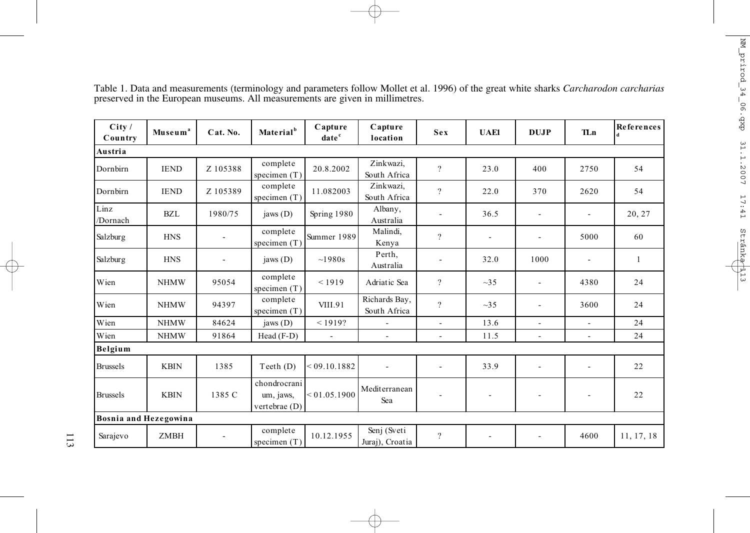| City /<br>Country     | Museum <sup>a</sup> | Cat. No. | Material <sup>b</sup>                      | Capture<br>date <sup>c</sup> | Capture<br>location            | Sex            | <b>UAE1</b> | <b>DUJP</b>              | <b>TLn</b>               | References   |
|-----------------------|---------------------|----------|--------------------------------------------|------------------------------|--------------------------------|----------------|-------------|--------------------------|--------------------------|--------------|
| Austria               |                     |          |                                            |                              |                                |                |             |                          |                          |              |
| Dornbirn              | <b>IEND</b>         | Z 105388 | complete<br>specimen (T)                   | 20.8.2002                    | Zinkwazi,<br>South Africa      | $\gamma$       | 23.0        | 400                      | 2750                     | 54           |
| Dornbirn              | <b>IEND</b>         | Z 105389 | complete<br>specimen $(T)$                 | 11.082003                    | Zinkwazi,<br>South Africa      | $\gamma$       | 22.0        | 370                      | 2620                     | 54           |
| Linz<br>/Dornach      | <b>BZL</b>          | 1980/75  | jaws $(D)$                                 | Spring 1980                  | Albany,<br>Australia           |                | 36.5        | $\overline{\phantom{a}}$ |                          | 20, 27       |
| Salzburg              | <b>HNS</b>          |          | complete<br>specimen (T)                   | Summer 1989                  | Malindi,<br>Kenya              | $\overline{?}$ |             | $\sim$                   | 5000                     | 60           |
| Salzburg              | <b>HNS</b>          |          | jaws $(D)$                                 | ~1980s                       | Perth,<br>Australia            |                | 32.0        | 1000                     |                          | $\mathbf{1}$ |
| Wien                  | <b>NHMW</b>         | 95054    | complete<br>specimen $(T)$                 | < 1919                       | Adriatic Sea                   | $\overline{?}$ | $\sim$ 35   | $\blacksquare$           | 4380                     | 24           |
| Wien                  | <b>NHMW</b>         | 94397    | complete<br>specimen (T)                   | VIII.91                      | Richards Bay,<br>South Africa  | $\overline{?}$ | $\sim$ 35   | $\blacksquare$           | 3600                     | 24           |
| Wien                  | <b>NHMW</b>         | 84624    | jaws $(D)$                                 | < 1919?                      | $\overline{a}$                 | $\overline{a}$ | 13.6        | $\overline{\phantom{a}}$ | $\overline{\phantom{a}}$ | 24           |
| Wien                  | <b>NHMW</b>         | 91864    | Head $(F-D)$                               | $\overline{\phantom{a}}$     | $\overline{\phantom{a}}$       | ä,             | 11.5        | $\blacksquare$           | $\blacksquare$           | 24           |
| Belgium               |                     |          |                                            |                              |                                |                |             |                          |                          |              |
| <b>Brussels</b>       | <b>KBIN</b>         | 1385     | Teeth(D)                                   | < 09.10.1882                 | $\blacksquare$                 | ÷,             | 33.9        | $\overline{\phantom{a}}$ | $\blacksquare$           | 22           |
| <b>Brussels</b>       | <b>KBIN</b>         | 1385 C   | chondrocrani<br>um, jaws,<br>vertebrae (D) | < 01.05.1900                 | Mediterranean<br>Sea           |                |             |                          |                          | 22           |
| Bosnia and Hezegowina |                     |          |                                            |                              |                                |                |             |                          |                          |              |
| Sarajevo              | <b>ZMBH</b>         |          | complete<br>specimen (T)                   | 10.12.1955                   | Senj (Sveti<br>Juraj), Croatia | $\overline{?}$ |             | $\overline{\phantom{a}}$ | 4600                     | 11, 17, 18   |

Table 1. Data and measurements (terminology and parameters follow Mollet et al. 1996) of the great white sharks *Carcharodon carcharias* preserved in the European museums. All measurements are given in millimetres.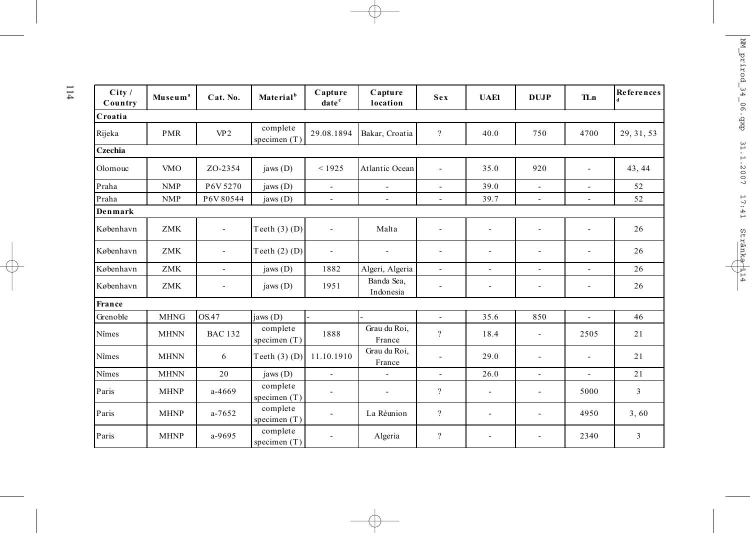| City/<br>Country | Museum <sup>a</sup> | Cat. No.                 | Material <sup>b</sup>      | Capture<br>date <sup>c</sup> | Capture<br>location      | Sex                      | <b>UAE1</b>              | <b>DUJP</b>              | <b>TLn</b>               | <b>References</b> |
|------------------|---------------------|--------------------------|----------------------------|------------------------------|--------------------------|--------------------------|--------------------------|--------------------------|--------------------------|-------------------|
| Croatia          |                     |                          |                            |                              |                          |                          |                          |                          |                          |                   |
| Rijeka           | <b>PMR</b>          | VP <sub>2</sub>          | complete<br>specimen $(T)$ | 29.08.1894                   | Bakar, Croatia           | $\overline{?}$           | 40.0                     | 750                      | 4700                     | 29, 31, 53        |
| Czechia          |                     |                          |                            |                              |                          |                          |                          |                          |                          |                   |
| Olomouc          | <b>VMO</b>          | ZO-2354                  | jaws $(D)$                 | < 1925                       | Atlantic Ocean           | $\overline{\phantom{a}}$ | 35.0                     | 920                      |                          | 43, 44            |
| Praha            | <b>NMP</b>          | P6V 5270                 | jaws (D)                   | $\overline{\phantom{a}}$     | $\blacksquare$           | $\mathbf{r}$             | 39.0                     | $\overline{\phantom{a}}$ |                          | 52                |
| Praha            | <b>NMP</b>          | P6V80544                 | jaws $(D)$                 | $\overline{a}$               | $\blacksquare$           | $\overline{\phantom{a}}$ | 39.7                     | $\blacksquare$           | $\overline{\phantom{a}}$ | 52                |
| Denmark          |                     |                          |                            |                              |                          |                          |                          |                          |                          |                   |
| København        | <b>ZMK</b>          | $\blacksquare$           | Teeth $(3)$ $(D)$          | $\overline{a}$               | Malta                    | $\overline{\phantom{a}}$ | $\blacksquare$           | $\overline{\phantom{a}}$ | $\overline{\phantom{a}}$ | 26                |
| København        | <b>ZMK</b>          | $\sim$                   | Teeth $(2)$ $(D)$          | $\qquad \qquad \blacksquare$ | $\overline{\phantom{a}}$ | $\overline{\phantom{a}}$ | $\overline{\phantom{a}}$ | -                        |                          | 26                |
| København        | <b>ZMK</b>          | $\sim$                   | jaws $(D)$                 | 1882                         | Algeri, Algeria          | $\sim$                   | L.                       | $\blacksquare$           | $\overline{\phantom{a}}$ | 26                |
| København        | <b>ZMK</b>          | $\overline{\phantom{0}}$ | jaws $(D)$                 | 1951                         | Banda Sea,<br>Indonesia  | $\overline{\phantom{a}}$ | $\blacksquare$           | $\blacksquare$           | $\overline{\phantom{a}}$ | 26                |
| France           |                     |                          |                            |                              |                          |                          |                          |                          |                          |                   |
| Grenoble         | <b>MHNG</b>         | OS.47                    | jaws(D)                    |                              |                          | $\mathbf{r}$             | 35.6                     | 850                      | $\sim$                   | 46                |
| Nîmes            | <b>MHNN</b>         | <b>BAC 132</b>           | complete<br>specimen $(T)$ | 1888                         | Grau du Roi,<br>France   | $\overline{?}$           | 18.4                     | $\overline{\phantom{a}}$ | 2505                     | 21                |
| Nîmes            | <b>MHNN</b>         | 6                        | Teeth $(3)$ (D)            | 11.10.1910                   | Grau du Roi,<br>France   | $\blacksquare$           | 29.0                     | $\overline{\phantom{a}}$ |                          | 21                |
| Nîmes            | <b>MHNN</b>         | 20                       | jaws (D)                   | $\overline{a}$               |                          | $\sim$                   | 26.0                     | $\overline{\phantom{a}}$ | $\blacksquare$           | 21                |
| Paris            | <b>MHNP</b>         | $a - 4669$               | complete<br>specimen (T)   |                              | $\sim$                   | $\overline{?}$           | $\blacksquare$           | $\overline{\phantom{a}}$ | 5000                     | 3                 |
| Paris            | <b>MHNP</b>         | $a - 7652$               | complete<br>specimen $(T)$ | $\blacksquare$               | La Réunion               | $\overline{?}$           | $\blacksquare$           | $\overline{\phantom{0}}$ | 4950                     | 3,60              |
| Paris            | <b>MHNP</b>         | a-9695                   | complete<br>specimen $(T)$ | $\overline{\phantom{a}}$     | Algeria                  | $\overline{\mathcal{L}}$ | $\overline{\phantom{a}}$ | $\overline{\phantom{a}}$ | 2340                     | 3                 |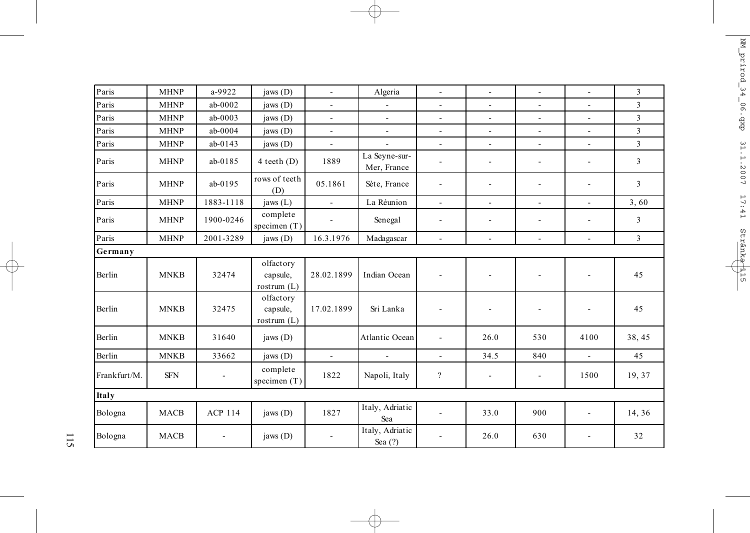| Paris        | <b>MHNP</b> | a-9922                   | jaws (D)                               | $\overline{\phantom{a}}$  | Algeria                      | $\overline{\phantom{a}}$ | $\mathbf{r}$             | $\omega$                 | $\sim$         | $\overline{3}$ |
|--------------|-------------|--------------------------|----------------------------------------|---------------------------|------------------------------|--------------------------|--------------------------|--------------------------|----------------|----------------|
| Paris        | <b>MHNP</b> | $ab-0002$                | jaws $(D)$                             | $\overline{\phantom{a}}$  | $\overline{\phantom{a}}$     | $\overline{\phantom{a}}$ | $\overline{\phantom{a}}$ | $\overline{\phantom{a}}$ | ÷              | 3              |
| Paris        | <b>MHNP</b> | ab-0003                  | jaws (D)                               | ÷,                        | ä,                           | L,                       | $\overline{\phantom{a}}$ | $\overline{a}$           | ä,             | 3              |
| Paris        | <b>MHNP</b> | ab-0004                  | jaws (D)                               | $\overline{\phantom{a}}$  | ÷,                           | $\blacksquare$           | $\overline{\phantom{a}}$ | $\blacksquare$           | ÷.             | 3              |
| Paris        | <b>MHNP</b> | $ab-0143$                | jaws (D)                               | $\blacksquare$            | $\overline{a}$               | $\overline{\phantom{a}}$ | $\overline{\phantom{a}}$ | $\overline{\phantom{a}}$ | $\blacksquare$ | 3              |
| Paris        | <b>MHNP</b> | $ab-0185$                | $4 \text{ teeth}$ (D)                  | 1889                      | La Seyne-sur-<br>Mer, France | ٠                        | $\overline{\phantom{a}}$ | $\blacksquare$           | ÷              | 3              |
| Paris        | <b>MHNP</b> | $ab-0195$                | rows of teeth<br>(D)                   | 05.1861                   | Sète, France                 | $\overline{a}$           | $\blacksquare$           | $\overline{\phantom{a}}$ | ÷.             | $\overline{3}$ |
| Paris        | <b>MHNP</b> | 1883-1118                | jaws $(L)$                             | $\mathbb{Z}^{\mathbb{Z}}$ | La Réunion                   | L,                       | $\blacksquare$           | ÷,                       | ÷.             | 3,60           |
| Paris        | <b>MHNP</b> | 1900-0246                | complete<br>specimen $(T)$             |                           | Senegal                      | $\overline{\phantom{a}}$ | $\overline{\phantom{a}}$ | ä,                       | ÷              | 3              |
| Paris        | <b>MHNP</b> | 2001-3289                | jaws (D)                               | 16.3.1976                 | Madagascar                   | ÷,                       | $\overline{a}$           | $\blacksquare$           | ÷.             | $\overline{3}$ |
| Germany      |             |                          |                                        |                           |                              |                          |                          |                          |                |                |
| Berlin       | <b>MNKB</b> | 32474                    | olfactory<br>capsule,<br>rostrum $(L)$ | 28.02.1899                | Indian Ocean                 | $\overline{\phantom{a}}$ |                          | $\blacksquare$           | ÷,             | 45             |
| Berlin       | <b>MNKB</b> | 32475                    | olfactory<br>capsule,<br>rostrum $(L)$ | 17.02.1899                | Sri Lanka                    | $\overline{\phantom{a}}$ | $\overline{\phantom{a}}$ | $\overline{\phantom{a}}$ | ۰              | 45             |
| Berlin       | <b>MNKB</b> | 31640                    | jaws $(D)$                             |                           | Atlantic Ocean               | ä,                       | 26.0                     | 530                      | 4100           | 38, 45         |
| Berlin       | <b>MNKB</b> | 33662                    | jaws (D)                               | $\mathcal{L}$             | $\blacksquare$               | L.                       | 34.5                     | 840                      | L.             | 45             |
| Frankfurt/M. | <b>SFN</b>  | $\overline{\phantom{a}}$ | complete<br>specimen $(T)$             | 1822                      | Napoli, Italy                | $\overline{\mathcal{C}}$ | ٠                        | $\overline{\phantom{a}}$ | 1500           | 19,37          |
| Italy        |             |                          |                                        |                           |                              |                          |                          |                          |                |                |
| Bologna      | <b>MACB</b> | <b>ACP 114</b>           | jaws $(D)$                             | 1827                      | Italy, Adriatic<br>Sea       | $\overline{\phantom{a}}$ | 33.0                     | 900                      | ÷,             | 14, 36         |
| Bologna      | <b>MACB</b> | $\overline{\phantom{a}}$ | jaws $(D)$                             | $\overline{\phantom{a}}$  | Italy, Adriatic<br>Sea $(?)$ |                          | 26.0                     | 630                      | ٠              | 32             |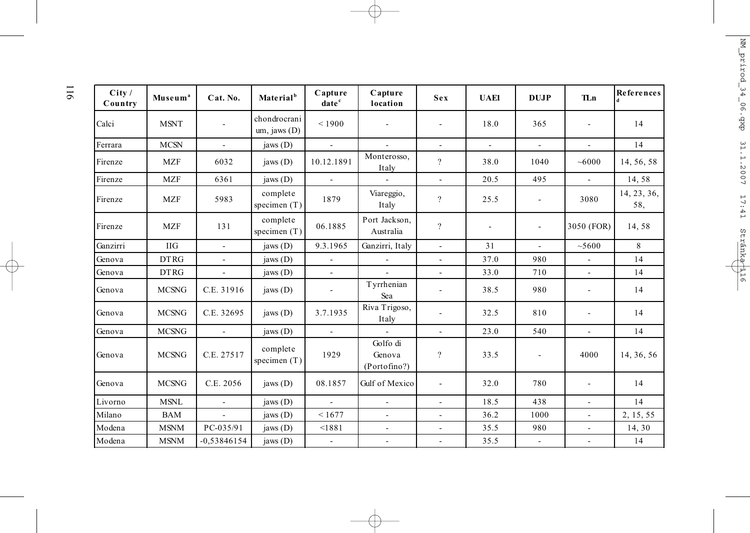| City /<br>Country | Museum <sup>a</sup> | Cat. No.      | Material <sup>b</sup>            | Capture<br>date <sup>c</sup> | Capture<br>location                | Sex                      | <b>UAE1</b>              | <b>DUJP</b>                  | <b>TLn</b>               | References         |
|-------------------|---------------------|---------------|----------------------------------|------------------------------|------------------------------------|--------------------------|--------------------------|------------------------------|--------------------------|--------------------|
| Calci             | <b>MSNT</b>         |               | chondrocrani<br>$um,$ jaws $(D)$ | ${}_{<1900}$                 |                                    |                          | 18.0                     | 365                          |                          | 14                 |
| Ferrara           | <b>MCSN</b>         | $\mathbf{r}$  | jaws $(D)$                       | $\omega$                     | $\mathbf{r}$                       | $\overline{\phantom{a}}$ | $\equiv$                 | $\omega$                     | $\mathbf{r}$             | 14                 |
| Firenze           | <b>MZF</b>          | 6032          | jaws $(D)$                       | 10.12.1891                   | Monterosso,<br>Italy               | $\overline{?}$           | 38.0                     | 1040                         | ~1000                    | 14, 56, 58         |
| Firenze           | <b>MZF</b>          | 6361          | jaws $(D)$                       | $\blacksquare$               | $\blacksquare$                     | $\overline{\phantom{a}}$ | 20.5                     | 495                          | $\sim$                   | 14,58              |
| Firenze           | <b>MZF</b>          | 5983          | complete<br>specimen $(T)$       | 1879                         | Viareggio,<br>Italy                | $\overline{?}$           | 25.5                     | $\overline{\phantom{a}}$     | 3080                     | 14, 23, 36,<br>58. |
| Firenze           | <b>MZF</b>          | 131           | complete<br>specimen $(T)$       | 06.1885                      | Port Jackson,<br>Australia         | $\overline{\mathcal{L}}$ | $\overline{\phantom{a}}$ | $\qquad \qquad \blacksquare$ | 3050 (FOR)               | 14,58              |
| Ganzirri          | <b>IIG</b>          | $\mathbf{r}$  | jaws $(D)$                       | 9.3.1965                     | Ganzirri, Italy                    | $\blacksquare$           | 31                       | $\mathbf{r}$                 | ~5600                    | 8                  |
| Genova            | <b>DTRG</b>         | ÷.            | jaws $(D)$                       | ÷.                           |                                    | ä,                       | 37.0                     | 980                          | $\mathbf{r}$             | 14                 |
| Genova            | <b>DTRG</b>         | $\mathbf{r}$  | jaws (D)                         | $\overline{a}$               | $\mathbf{r}$                       | $\overline{\phantom{a}}$ | 33.0                     | 710                          | $\omega$                 | 14                 |
| Genova            | <b>MCSNG</b>        | C.E. 31916    | jaws $(D)$                       | $\overline{\phantom{a}}$     | Tyrrhenian<br>Sea                  |                          | 38.5                     | 980                          | $\blacksquare$           | 14                 |
| Genova            | <b>MCSNG</b>        | C.E. 32695    | jaws $(D)$                       | 3.7.1935                     | Riva Trigoso,<br>Italy             |                          | 32.5                     | 810                          | ٠                        | 14                 |
| Genova            | <b>MCSNG</b>        | $\mathcal{L}$ | jaws $(D)$                       | $\mathbf{r}$                 |                                    | L.                       | 23.0                     | 540                          | $\blacksquare$           | 14                 |
| Genova            | <b>MCSNG</b>        | C.E. 27517    | complete<br>specimen $(T)$       | 1929                         | Golfo di<br>Genova<br>(Portofino?) | $\overline{?}$           | 33.5                     | $\overline{\phantom{a}}$     | 4000                     | 14, 36, 56         |
| Genova            | <b>MCSNG</b>        | C.E. 2056     | jaws $(D)$                       | 08.1857                      | Gulf of Mexico                     | ٠                        | 32.0                     | 780                          | ٠                        | 14                 |
| Livorno           | <b>MSNL</b>         | $\mathbf{r}$  | jaws $(D)$                       | $\mathbf{r}$                 | $\mathbf{r}$                       | $\overline{\phantom{a}}$ | 18.5                     | 438                          | $\mathbf{r}$             | 14                 |
| Milano            | <b>BAM</b>          | $\mathbf{r}$  | jaws $(D)$                       | < 1677                       | ä,                                 | $\blacksquare$           | 36.2                     | 1000                         | $\overline{\phantom{a}}$ | 2, 15, 55          |
| Modena            | <b>MSNM</b>         | PC-035/91     | jaws (D)                         | < 1881                       | $\overline{\phantom{a}}$           | $\overline{\phantom{a}}$ | 35.5                     | 980                          | $\mathbf{r}$             | 14, 30             |
| Modena            | <b>MSNM</b>         | $-0.53846154$ | jaws (D)                         | $\blacksquare$               | $\blacksquare$                     | $\overline{\phantom{a}}$ | 35.5                     | $\blacksquare$               | $\mathbf{r}$             | 14                 |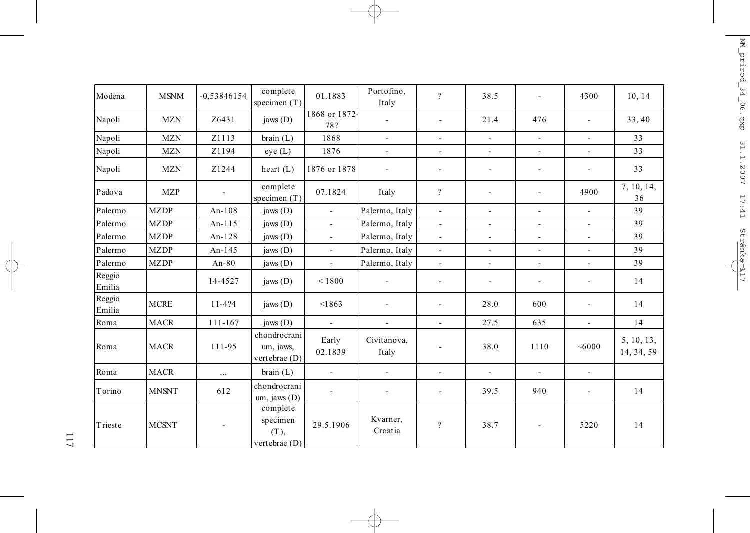| Modena           | <b>MSNM</b>  | $-0,53846154$ | complete<br>specimen $(T)$                      | 01.1883                  | Portofino,<br>Italy      | $\overline{?}$               | 38.5                     | $\sim$                   | 4300                     | 10, 14                   |
|------------------|--------------|---------------|-------------------------------------------------|--------------------------|--------------------------|------------------------------|--------------------------|--------------------------|--------------------------|--------------------------|
| Napoli           | <b>MZN</b>   | Z6431         | jaws $(D)$                                      | 1868 or 1872-<br>78?     | $\overline{\phantom{a}}$ | $\overline{\phantom{a}}$     | 21.4                     | 476                      |                          | 33, 40                   |
| Napoli           | <b>MZN</b>   | Z1113         | brain (L)                                       | 1868                     | $\blacksquare$           | $\blacksquare$               | $\blacksquare$           | $\blacksquare$           | ÷.                       | 33                       |
| Napoli           | <b>MZN</b>   | Z1194         | eye(L)                                          | 1876                     | $\overline{\phantom{a}}$ | $\overline{a}$               | $\mathbf{r}$             | $\overline{\phantom{a}}$ | ÷.                       | 33                       |
| Napoli           | <b>MZN</b>   | Z1244         | heart $(L)$                                     | 1876 or 1878             | $\overline{\phantom{a}}$ | $\qquad \qquad \blacksquare$ | $\overline{\phantom{a}}$ | $\overline{\phantom{a}}$ | ÷                        | 33                       |
| Padova           | <b>MZP</b>   | $\sim$        | complete<br>specimen $(T)$                      | 07.1824                  | Italy                    | $\overline{?}$               | $\overline{\phantom{a}}$ | $\blacksquare$           | 4900                     | 7, 10, 14,<br>36         |
| Palermo          | <b>MZDP</b>  | An-108        | jaws (D)                                        | $\mathbf{r}$             | Palermo, Italy           | $\overline{a}$               | $\blacksquare$           | $\sim$                   | $\overline{\phantom{a}}$ | 39                       |
| Palermo          | <b>MZDP</b>  | An-115        | jaws (D)                                        | $\mathbb{Z}^2$           | Palermo, Italy           | $\overline{a}$               | $\blacksquare$           | $\overline{\phantom{a}}$ | $\overline{\phantom{a}}$ | 39                       |
| Palermo          | <b>MZDP</b>  | An- $128$     | jaws (D)                                        | $\mathbb{Z}^2$           | Palermo, Italy           | $\overline{\phantom{a}}$     | $\blacksquare$           | $\overline{\phantom{a}}$ | $\overline{\phantom{a}}$ | 39                       |
| Palermo          | <b>MZDP</b>  | An-145        | jaws $(D)$                                      | $\mathbf{r}$             | Palermo, Italy           | $\blacksquare$               | $\blacksquare$           | $\blacksquare$           | L.                       | 39                       |
| Palermo          | <b>MZDP</b>  | An- $80$      | jaws (D)                                        | $\overline{\phantom{a}}$ | Palermo, Italy           | $\mathbb{L}$                 | $\blacksquare$           | $\sim$                   | ÷.                       | 39                       |
| Reggio<br>Emilia |              | 14-4527       | jaws $(D)$                                      | ${}_{\leq 1800}$         | $\overline{\phantom{a}}$ | $\overline{\phantom{a}}$     | $\overline{\phantom{a}}$ | $\overline{\phantom{a}}$ | $\overline{\phantom{a}}$ | 14                       |
| Reggio<br>Emilia | <b>MCRE</b>  | 11-4?4        | jaws (D)                                        | < 1863                   | $\overline{\phantom{a}}$ | ÷,                           | 28.0                     | 600                      |                          | 14                       |
| Roma             | <b>MACR</b>  | 111-167       | jaws (D)                                        | $\blacksquare$           | $\overline{\phantom{a}}$ | $\overline{\phantom{a}}$     | 27.5                     | 635                      | $\blacksquare$           | 14                       |
| Roma             | <b>MACR</b>  | 111-95        | chondrocrani<br>um, jaws,<br>vertebrae (D)      | Early<br>02.1839         | Civitanova,<br>Italy     | $\overline{\phantom{a}}$     | 38.0                     | 1110                     | ~1000                    | 5, 10, 13,<br>14, 34, 59 |
| Roma             | <b>MACR</b>  | $\ldots$      | brain (L)                                       | $\overline{\phantom{a}}$ | $\mathbf{r}$             | $\blacksquare$               | $\blacksquare$           | $\sim$                   | ÷.                       |                          |
| Torino           | <b>MNSNT</b> | 612           | chondrocrani<br>um, jaws $(D)$                  |                          | $\overline{\phantom{a}}$ | $\overline{\phantom{a}}$     | 39.5                     | 940                      |                          | 14                       |
| Trieste          | <b>MCSNT</b> |               | complete<br>specimen<br>(T),<br>vertebrae $(D)$ | 29.5.1906                | Kvarner,<br>Croatia      | $\overline{\cdot}$           | 38.7                     | $\overline{\phantom{a}}$ | 5220                     | 14                       |

117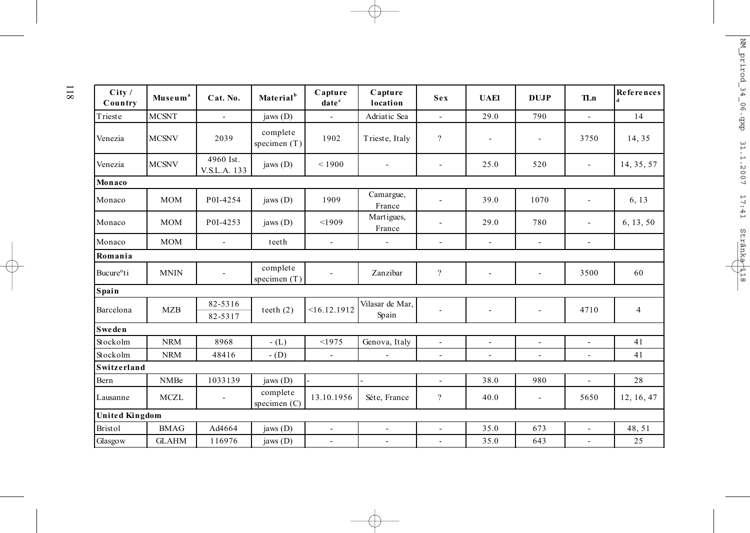| City /<br>Country      | Museum <sup>a</sup> | Cat. No.                  | Material <sup>b</sup>      | Capture<br>date <sup>c</sup> | Capture<br>location      | Sex                      | <b>UAE1</b>              | <b>DUJP</b>              | <b>TLn</b>               | References<br>d |
|------------------------|---------------------|---------------------------|----------------------------|------------------------------|--------------------------|--------------------------|--------------------------|--------------------------|--------------------------|-----------------|
| Trieste                | <b>MCSNT</b>        | $\mathbf{r}$              | jaws $(D)$                 | $\mathbf{r}$                 | Adriatic Sea             | $\mathbf{r}$             | 29.0                     | 790                      | $\sim$                   | 14              |
| Venezia                | <b>MCSNV</b>        | 2039                      | complete<br>specimen $(T)$ | 1902                         | Trieste, Italy           | $\overline{?}$           |                          | ٠                        | 3750                     | 14, 35          |
| Venezia                | <b>MCSNV</b>        | 4960 Ist.<br>V.S.L.A. 133 | jaws $(D)$                 | < 1900                       | ÷,                       | Ξ.                       | 25.0                     | 520                      | $\overline{\phantom{a}}$ | 14, 35, 57      |
| Monaco                 |                     |                           |                            |                              |                          |                          |                          |                          |                          |                 |
| Monaco                 | <b>MOM</b>          | P0I-4254                  | jaws $(D)$                 | 1909                         | Camargue,<br>France      |                          | 39.0                     | 1070                     | $\overline{\phantom{a}}$ | 6, 13           |
| Monaco                 | <b>MOM</b>          | P0I-4253                  | jaws $(D)$                 | < 1909                       | Martigues,<br>France     |                          | 29.0                     | 780                      | $\overline{\phantom{a}}$ | 6, 13, 50       |
| Monaco                 | <b>MOM</b>          | ÷.                        | teeth                      | $\blacksquare$               | L,                       | $\overline{a}$           | $\sim$                   | ÷,                       | $\overline{\phantom{a}}$ |                 |
| Romania                |                     |                           |                            |                              |                          |                          |                          |                          |                          |                 |
| Bucure <sup>o</sup> ti | <b>MNIN</b>         | $\blacksquare$            | complete<br>specimen $(T)$ |                              | Zanzibar                 | $\overline{?}$           | $\overline{\phantom{a}}$ | $\overline{\phantom{a}}$ | 3500                     | 60              |
| Spain                  |                     |                           |                            |                              |                          |                          |                          |                          |                          |                 |
| Barcelona              | MZB                 | 82-5316<br>82-5317        | teeth $(2)$                | <16.12.1912                  | Vilasar de Mar,<br>Spain | $\overline{a}$           |                          | L,                       | 4710                     | $\overline{4}$  |
| <b>Sweden</b>          |                     |                           |                            |                              |                          |                          |                          |                          |                          |                 |
| Stockolm               | <b>NRM</b>          | 8968                      | $-L$ )                     | <1975                        | Genova, Italy            | $\overline{a}$           | $\sim$                   | $\overline{a}$           | $\overline{a}$           | 41              |
| Stockolm               | <b>NRM</b>          | 48416                     | $-$ (D)                    | $\overline{\phantom{a}}$     | $\sim$                   | $\overline{\phantom{a}}$ | $\overline{\phantom{a}}$ | $\sim$                   | $\mathbf{r}$             | 41              |
| Switzerland            |                     |                           |                            |                              |                          |                          |                          |                          |                          |                 |
| Bern                   | <b>NMBe</b>         | 1033139                   | jaws $(D)$                 |                              |                          | $\blacksquare$           | 38.0                     | 980                      | $\mathbf{r}$             | 28              |
| Lausanne               | <b>MCZL</b>         | $\sim$                    | complete<br>specimen (C)   | 13.10.1956                   | Séte, France             | $\overline{?}$           | 40.0                     | ÷,                       | 5650                     | 12, 16, 47      |
| <b>United Kingdom</b>  |                     |                           |                            |                              |                          |                          |                          |                          |                          |                 |
| <b>Bristol</b>         | <b>BMAG</b>         | Ad4664                    | jaws $(D)$                 | $\overline{\phantom{a}}$     | $\sim$                   | $\blacksquare$           | 35.0                     | 673                      | $\blacksquare$           | 48, 51          |
| Glasgow                | <b>GLAHM</b>        | 116976                    | jaws $(D)$                 | $\blacksquare$               | $\overline{\phantom{a}}$ | ÷,                       | 35.0                     | 643                      | $\overline{\phantom{a}}$ | 25              |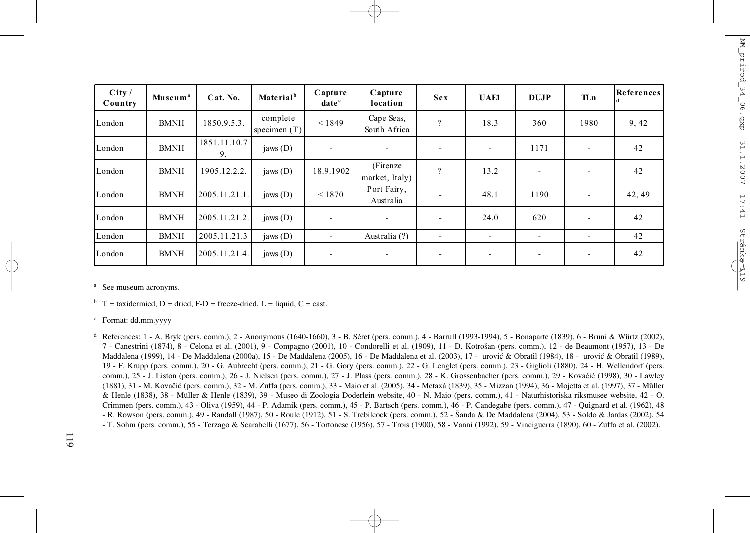| City/<br>Country | Museum <sup>a</sup> | Cat. No.           | Material <sup>b</sup>      | Capture<br>date <sup>c</sup> | Capture<br>location         | <b>Sex</b>               | <b>UAE1</b>              | <b>DUJP</b>              | <b>TLn</b> | <b>References</b> |
|------------------|---------------------|--------------------|----------------------------|------------------------------|-----------------------------|--------------------------|--------------------------|--------------------------|------------|-------------------|
| London           | <b>BMNH</b>         | 1850.9.5.3.        | complete<br>specimen $(T)$ | < 1849                       | Cape Seas,<br>South Africa  | $\mathcal{D}$            | 18.3                     | 360                      | 1980       | 9, 42             |
| London           | <b>BMNH</b>         | 1851.11.10.7<br>9. | jaws $(D)$                 |                              | ۰                           | ٠                        |                          | 1171                     |            | 42                |
| London           | <b>BMNH</b>         | 1905.12.2.2.       | jaws $(D)$                 | 18.9.1902                    | (Firenze)<br>market, Italy) | $\mathcal{P}$            | 13.2                     | $\sim$                   |            | 42                |
| London           | <b>BMNH</b>         | 2005.11.21.1.      | jaws $(D)$                 | < 1870                       | Port Fairy,<br>Australia    | ٠                        | 48.1                     | 1190                     |            | 42, 49            |
| London           | <b>BMNH</b>         | 2005.11.21.2.      | jaws $(D)$                 |                              | ۰                           | $\overline{\phantom{0}}$ | 24.0                     | 620                      |            | 42                |
| London           | <b>BMNH</b>         | 2005.11.21.3       | jaws $(D)$                 |                              | Australia (?)               | ٠                        | $\overline{\phantom{a}}$ | $\overline{\phantom{a}}$ |            | 42                |
| London           | <b>BMNH</b>         | 2005.11.21.4.      | jaws $(D)$                 | $\overline{\phantom{0}}$     | ۰                           | ٠                        | -                        | ٠                        | -          | 42                |

<sup>a</sup> See museum acronyms.

 $b$  T = taxidermied, D = dried, F-D = freeze-dried, L = liquid, C = cast.

c Format: dd.mm.yyyy

d References: 1 - A. Bryk (pers. comm.), 2 - Anonymous (1640-1660), 3 - B. Séret (pers. comm.), 4 - Barrull (1993-1994), 5 - Bonaparte (1839), 6 - Bruni & Würtz (2002), 7 - Canestrini (1874), 8 - Celona et al. (2001), 9 - Compagno (2001), 10 - Condorelli et al. (1909), 11 - D. Kotrošan (pers. comm.), 12 - de Beaumont (1957), 13 - De Maddalena (1999), 14 - De Maddalena (2000a), 15 - De Maddalena (2005), 16 - De Maddalena et al. (2003), 17 - urović & Obratil (1984), 18 - urović & Obratil (1989), 19 - F. Krupp (pers. comm.), 20 - G. Aubrecht (pers. comm.), 21 - G. Gory (pers. comm.), 22 - G. Lenglet (pers. comm.), 23 - Giglioli (1880), 24 - H. Wellendorf (pers. comm.), 25 - J. Liston (pers. comm.), 26 - J. Nielsen (pers. comm.), 27 - J. Plass (pers. comm.), 28 - K. Grossenbacher (pers. comm.), 29 - Kovačić (1998), 30 - Lawley (1881), 31 - M. Kovačić (pers. comm.), 32 - M. Zuffa (pers. comm.), 33 - Maio et al. (2005), 34 - Metaxà (1839), 35 - Mizzan (1994), 36 - Mojetta et al. (1997), 37 - Müller & Henle (1838), 38 - Müller & Henle (1839), 39 - Museo di Zoologia Doderlein website, 40 - N. Maio (pers. comm.), 41 - Naturhistoriska riksmusee website, 42 - O. Crimmen (pers. comm.), 43 - Oliva (1959), 44 - P. Adamik (pers. comm.), 45 - P. Bartsch (pers. comm.), 46 - P. Candegabe (pers. comm.), 47 - Quignard et al. (1962), 48 - R. Rowson (pers. comm.), 49 - Randall (1987), 50 - Roule (1912), 51 - S. Trebilcock (pers. comm.), 52 - Šanda & De Maddalena (2004), 53 - Soldo & Jardas (2002), 54 - T. Sohm (pers. comm.), 55 - Terzago & Scarabelli (1677), 56 - Tortonese (1956), 57 - Trois (1900), 58 - Vanni (1992), 59 - Vinciguerra (1890), 60 - Zuffa et al. (2002).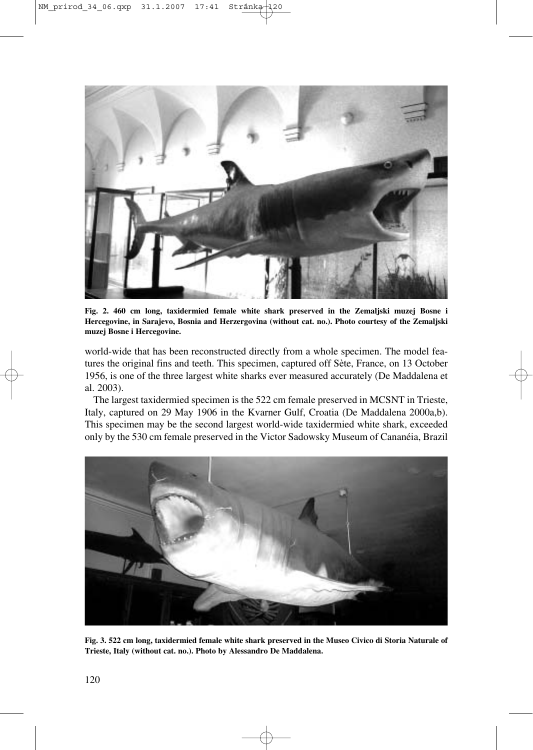

**Fig. 2. 460 cm long, taxidermied female white shark preserved in the Zemaljski muzej Bosne i Hercegovine, in Sarajevo, Bosnia and Herzergovina (without cat. no.). Photo courtesy of the Zemaljski muzej Bosne i Hercegovine.**

world-wide that has been reconstructed directly from a whole specimen. The model features the original fins and teeth. This specimen, captured off Sète, France, on 13 October 1956, is one of the three largest white sharks ever measured accurately (De Maddalena et al. 2003).

The largest taxidermied specimen is the 522 cm female preserved in MCSNT in Trieste, Italy, captured on 29 May 1906 in the Kvarner Gulf, Croatia (De Maddalena 2000a,b). This specimen may be the second largest world-wide taxidermied white shark, exceeded only by the 530 cm female preserved in the Victor Sadowsky Museum of Cananéia, Brazil



**Fig. 3. 522 cm long, taxidermied female white shark preserved in the Museo Civico di Storia Naturale of Trieste, Italy (without cat. no.). Photo by Alessandro De Maddalena.**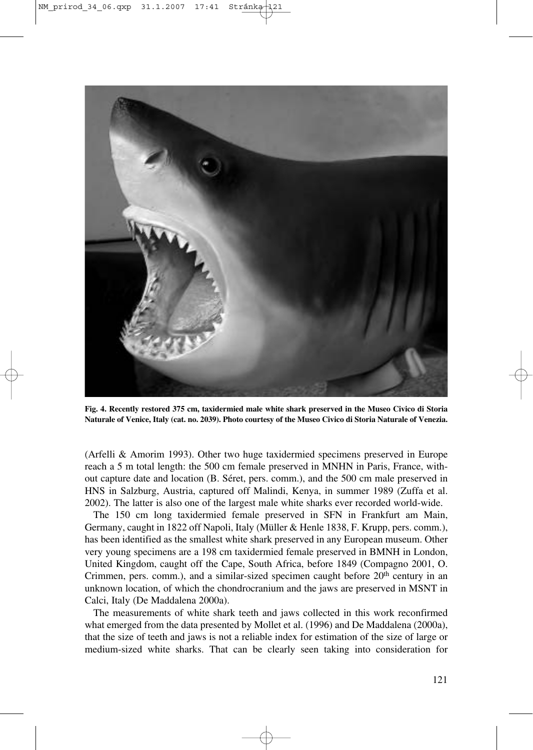

**Fig. 4. Recently restored 375 cm, taxidermied male white shark preserved in the Museo Civico di Storia Naturale of Venice, Italy (cat. no. 2039). Photo courtesy of the Museo Civico di Storia Naturale of Venezia.**

(Arfelli & Amorim 1993). Other two huge taxidermied specimens preserved in Europe reach a 5 m total length: the 500 cm female preserved in MNHN in Paris, France, without capture date and location (B. Séret, pers. comm.), and the 500 cm male preserved in HNS in Salzburg, Austria, captured off Malindi, Kenya, in summer 1989 (Zuffa et al. 2002). The latter is also one of the largest male white sharks ever recorded world-wide.

The 150 cm long taxidermied female preserved in SFN in Frankfurt am Main, Germany, caught in 1822 off Napoli, Italy (Müller & Henle 1838, F. Krupp, pers. comm.), has been identified as the smallest white shark preserved in any European museum. Other very young specimens are a 198 cm taxidermied female preserved in BMNH in London, United Kingdom, caught off the Cape, South Africa, before 1849 (Compagno 2001, O. Crimmen, pers. comm.), and a similar-sized specimen caught before  $20<sup>th</sup>$  century in an unknown location, of which the chondrocranium and the jaws are preserved in MSNT in Calci, Italy (De Maddalena 2000a).

The measurements of white shark teeth and jaws collected in this work reconfirmed what emerged from the data presented by Mollet et al. (1996) and De Maddalena (2000a), that the size of teeth and jaws is not a reliable index for estimation of the size of large or medium-sized white sharks. That can be clearly seen taking into consideration for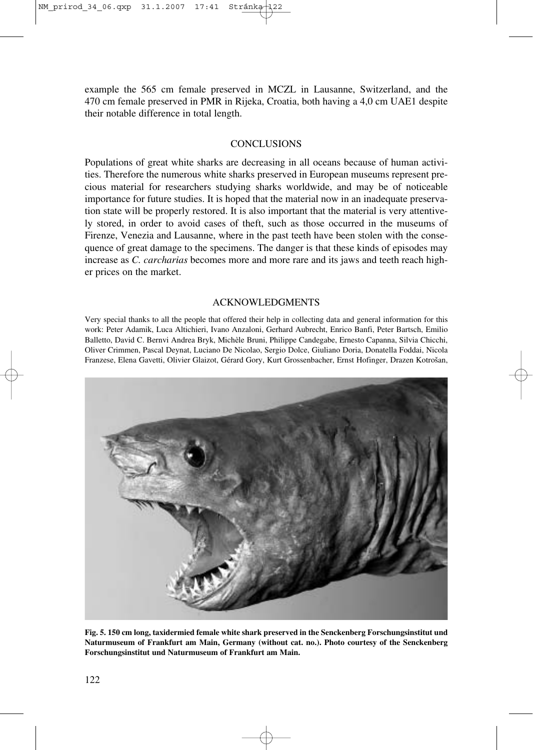example the 565 cm female preserved in MCZL in Lausanne, Switzerland, and the 470 cm female preserved in PMR in Rijeka, Croatia, both having a 4,0 cm UAE1 despite their notable difference in total length.

## **CONCLUSIONS**

Populations of great white sharks are decreasing in all oceans because of human activities. Therefore the numerous white sharks preserved in European museums represent precious material for researchers studying sharks worldwide, and may be of noticeable importance for future studies. It is hoped that the material now in an inadequate preservation state will be properly restored. It is also important that the material is very attentively stored, in order to avoid cases of theft, such as those occurred in the museums of Firenze, Venezia and Lausanne, where in the past teeth have been stolen with the consequence of great damage to the specimens. The danger is that these kinds of episodes may increase as *C. carcharias* becomes more and more rare and its jaws and teeth reach higher prices on the market.

## ACKNOWLEDGMENTS

Very special thanks to all the people that offered their help in collecting data and general information for this work: Peter Adamik, Luca Altichieri, Ivano Anzaloni, Gerhard Aubrecht, Enrico Banfi, Peter Bartsch, Emilio Balletto, David C. Bernvi Andrea Bryk, Michèle Bruni, Philippe Candegabe, Ernesto Capanna, Silvia Chicchi, Oliver Crimmen, Pascal Deynat, Luciano De Nicolao, Sergio Dolce, Giuliano Doria, Donatella Foddai, Nicola Franzese, Elena Gavetti, Olivier Glaizot, Gérard Gory, Kurt Grossenbacher, Ernst Hofinger, Drazen Kotrošan,



**Fig. 5. 150 cm long, taxidermied female white shark preserved in the Senckenberg Forschungsinstitut und Naturmuseum of Frankfurt am Main, Germany (without cat. no.). Photo courtesy of the Senckenberg Forschungsinstitut und Naturmuseum of Frankfurt am Main.**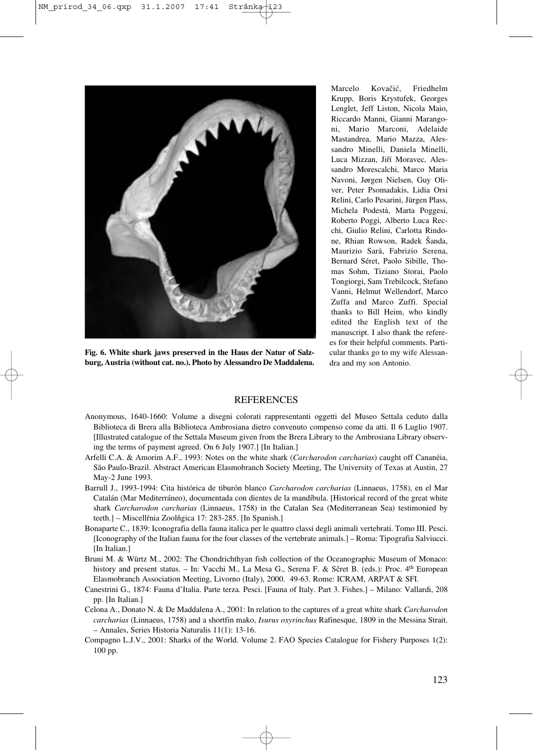

**Fig. 6. White shark jaws preserved in the Haus der Natur of Salzburg, Austria (without cat. no.). Photo by Alessandro De Maddalena.**

Marcelo Kovačić, Friedhelm Krupp, Boris Krystufek, Georges Lenglet, Jeff Liston, Nicola Maio, Riccardo Manni, Gianni Marangoni, Mario Marconi, Adelaide Mastandrea, Mario Mazza, Alessandro Minelli, Daniela Minelli, Luca Mizzan, Jiří Moravec, Alessandro Morescalchi, Marco Maria Navoni, Jørgen Nielsen, Guy Oliver, Peter Psomadakis, Lidia Orsi Relini, Carlo Pesarini, Jürgen Plass, Michela Podestà, Marta Poggesi, Roberto Poggi, Alberto Luca Recchi, Giulio Relini, Carlotta Rindone, Rhian Rowson, Radek Šanda, Maurizio Sarà, Fabrizio Serena, Bernard Séret, Paolo Sibille, Thomas Sohm, Tiziano Storai, Paolo Tongiorgi, Sam Trebilcock, Stefano Vanni, Helmut Wellendorf, Marco Zuffa and Marco Zuffi. Special thanks to Bill Heim, who kindly edited the English text of the manuscript. I also thank the referees for their helpful comments. Particular thanks go to my wife Alessandra and my son Antonio.

#### **REFERENCES**

- Anonymous, 1640-1660: Volume a disegni colorati rappresentanti oggetti del Museo Settala ceduto dalla Biblioteca di Brera alla Biblioteca Ambrosiana dietro convenuto compenso come da atti. Il 6 Luglio 1907. [Illustrated catalogue of the Settala Museum given from the Brera Library to the Ambrosiana Library observing the terms of payment agreed. On 6 July 1907.] [In Italian.]
- Arfelli C.A. & Amorim A.F., 1993: Notes on the white shark (*Carcharodon carcharias*) caught off Cananéia, Săo Paulo-Brazil. Abstract American Elasmobranch Society Meeting, The University of Texas at Austin, 27 May-2 June 1993.
- Barrull J., 1993-1994: Cita histórica de tiburón blanco *Carcharodon carcharias* (Linnaeus, 1758), en el Mar Catalán (Mar Mediterráneo), documentada con dientes de la mandíbula. [Historical record of the great white shark *Carcharodon carcharias* (Linnaeus, 1758) in the Catalan Sea (Mediterranean Sea) testimonied by teeth.] – Miscellŕnia Zoolňgica 17: 283-285. [In Spanish.]
- Bonaparte C., 1839: Iconografia della fauna italica per le quattro classi degli animali vertebrati. Tomo III. Pesci. [Iconography of the Italian fauna for the four classes of the vertebrate animals.] – Roma: Tipografia Salviucci. [In Italian.]
- Bruni M. & Würtz M., 2002: The Chondrichthyan fish collection of the Oceanographic Museum of Monaco: history and present status. – In: Vacchi M., La Mesa G., Serena F. & Sčret B. (eds.): Proc. 4<sup>th</sup> European Elasmobranch Association Meeting, Livorno (Italy), 2000. 49-63. Rome: ICRAM, ARPAT & SFI.
- Canestrini G., 1874: Fauna d'Italia. Parte terza. Pesci. [Fauna of Italy. Part 3. Fishes.] Milano: Vallardi, 208 pp. [In Italian.]
- Celona A., Donato N. & De Maddalena A., 2001: In relation to the captures of a great white shark *Carcharodon carcharias* (Linnaeus, 1758) and a shortfin mako, *Isurus oxyrinchus* Rafinesque, 1809 in the Messina Strait. – Annales, Series Historia Naturalis 11(1): 13-16.
- Compagno L.J.V., 2001: Sharks of the World. Volume 2. FAO Species Catalogue for Fishery Purposes 1(2): 100 pp.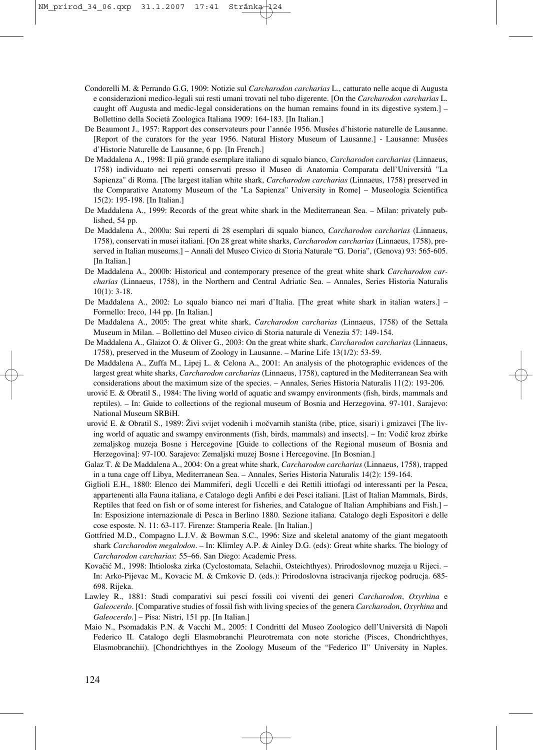- Condorelli M. & Perrando G.G, 1909: Notizie sul *Carcharodon carcharias* L., catturato nelle acque di Augusta e considerazioni medico-legali sui resti umani trovati nel tubo digerente. [On the *Carcharodon carcharias* L. caught off Augusta and medic-legal considerations on the human remains found in its digestive system.] – Bollettino della Società Zoologica Italiana 1909: 164-183. [In Italian.]
- De Beaumont J., 1957: Rapport des conservateurs pour l'année 1956. Musées d'historie naturelle de Lausanne. [Report of the curators for the year 1956. Natural History Museum of Lausanne.] - Lausanne: Musées d'Historie Naturelle de Lausanne, 6 pp. [In French.]
- De Maddalena A., 1998: Il piů grande esemplare italiano di squalo bianco, *Carcharodon carcharias* (Linnaeus, 1758) individuato nei reperti conservati presso il Museo di Anatomia Comparata dell'Università "La Sapienza" di Roma. [The largest italian white shark, *Carcharodon carcharias* (Linnaeus, 1758) preserved in the Comparative Anatomy Museum of the "La Sapienza" University in Rome] – Museologia Scientifica 15(2): 195-198. [In Italian.]
- De Maddalena A., 1999: Records of the great white shark in the Mediterranean Sea. Milan: privately published, 54 pp.
- De Maddalena A., 2000a: Sui reperti di 28 esemplari di squalo bianco, *Carcharodon carcharias* (Linnaeus, 1758), conservati in musei italiani. [On 28 great white sharks, *Carcharodon carcharias* (Linnaeus, 1758), preserved in Italian museums.] – Annali del Museo Civico di Storia Naturale "G. Doria", (Genova) 93: 565-605. [In Italian.]
- De Maddalena A., 2000b: Historical and contemporary presence of the great white shark *Carcharodon carcharias* (Linnaeus, 1758), in the Northern and Central Adriatic Sea. – Annales, Series Historia Naturalis 10(1): 3-18.
- De Maddalena A., 2002: Lo squalo bianco nei mari d'Italia. [The great white shark in italian waters.] Formello: Ireco, 144 pp. [In Italian.]
- De Maddalena A., 2005: The great white shark, *Carcharodon carcharias* (Linnaeus, 1758) of the Settala Museum in Milan. – Bollettino del Museo civico di Storia naturale di Venezia 57: 149-154.
- De Maddalena A., Glaizot O. & Oliver G., 2003: On the great white shark, *Carcharodon carcharias* (Linnaeus, 1758), preserved in the Museum of Zoology in Lausanne. – Marine Life 13(1/2): 53-59.
- De Maddalena A., Zuffa M., Lipej L. & Celona A., 2001: An analysis of the photographic evidences of the largest great white sharks, *Carcharodon carcharias* (Linnaeus, 1758), captured in the Mediterranean Sea with considerations about the maximum size of the species. – Annales, Series Historia Naturalis 11(2): 193-206.
- urović E. & Obratil S., 1984: The living world of aquatic and swampy environments (fish, birds, mammals and reptiles). – In: Guide to collections of the regional museum of Bosnia and Herzegovina. 97-101. Sarajevo: National Museum SRBiH.
- urović E. & Obratil S., 1989: Živi svijet vodenih i močvarnih staništa (ribe, ptice, sisari) i gmizavci [The living world of aquatic and swampy environments (fish, birds, mammals) and insects]. – In: Vodič kroz zbirke zemaljskog muzeja Bosne i Hercegovine [Guide to collections of the Regional museum of Bosnia and Herzegovina]: 97-100. Sarajevo: Zemaljski muzej Bosne i Hercegovine. [In Bosnian.]
- Galaz T. & De Maddalena A., 2004: On a great white shark, *Carcharodon carcharias* (Linnaeus, 1758), trapped in a tuna cage off Libya, Mediterranean Sea. – Annales, Series Historia Naturalis 14(2): 159-164.
- Giglioli E.H., 1880: Elenco dei Mammiferi, degli Uccelli e dei Rettili ittiofagi od interessanti per la Pesca, appartenenti alla Fauna italiana, e Catalogo degli Anfibi e dei Pesci italiani. [List of Italian Mammals, Birds, Reptiles that feed on fish or of some interest for fisheries, and Catalogue of Italian Amphibians and Fish.] – In: Esposizione internazionale di Pesca in Berlino 1880. Sezione italiana. Catalogo degli Espositori e delle cose esposte. N. 11: 63-117. Firenze: Stamperia Reale. [In Italian.]
- Gottfried M.D., Compagno L.J.V. & Bowman S.C., 1996: Size and skeletal anatomy of the giant megatooth shark *Carcharodon megalodon*. – In: Klimley A.P. & Ainley D.G. (eds): Great white sharks. The biology of *Carcharodon carcharias*: 55–66. San Diego: Academic Press.
- Kovačić M., 1998: Ihtioloska zirka (Cyclostomata, Selachii, Osteichthyes). Prirodoslovnog muzeja u Rijeci. In: Arko-Pijevac M., Kovacic M. & Crnkovic D. (eds.): Prirodoslovna istracivanja rijeckog podrucja. 685- 698. Rijeka.
- Lawley R., 1881: Studi comparativi sui pesci fossili coi viventi dei generi *Carcharodon*, *Oxyrhina* e *Galeocerdo*. [Comparative studies of fossil fish with living species of the genera *Carcharodon*, *Oxyrhina* and *Galeocerdo.*] – Pisa: Nistri, 151 pp. [In Italian.]
- Maio N., Psomadakis P.N. & Vacchi M., 2005: I Condritti del Museo Zoologico dell'Università di Napoli Federico II. Catalogo degli Elasmobranchi Pleurotremata con note storiche (Pisces, Chondrichthyes, Elasmobranchii). [Chondrichthyes in the Zoology Museum of the "Federico II" University in Naples.